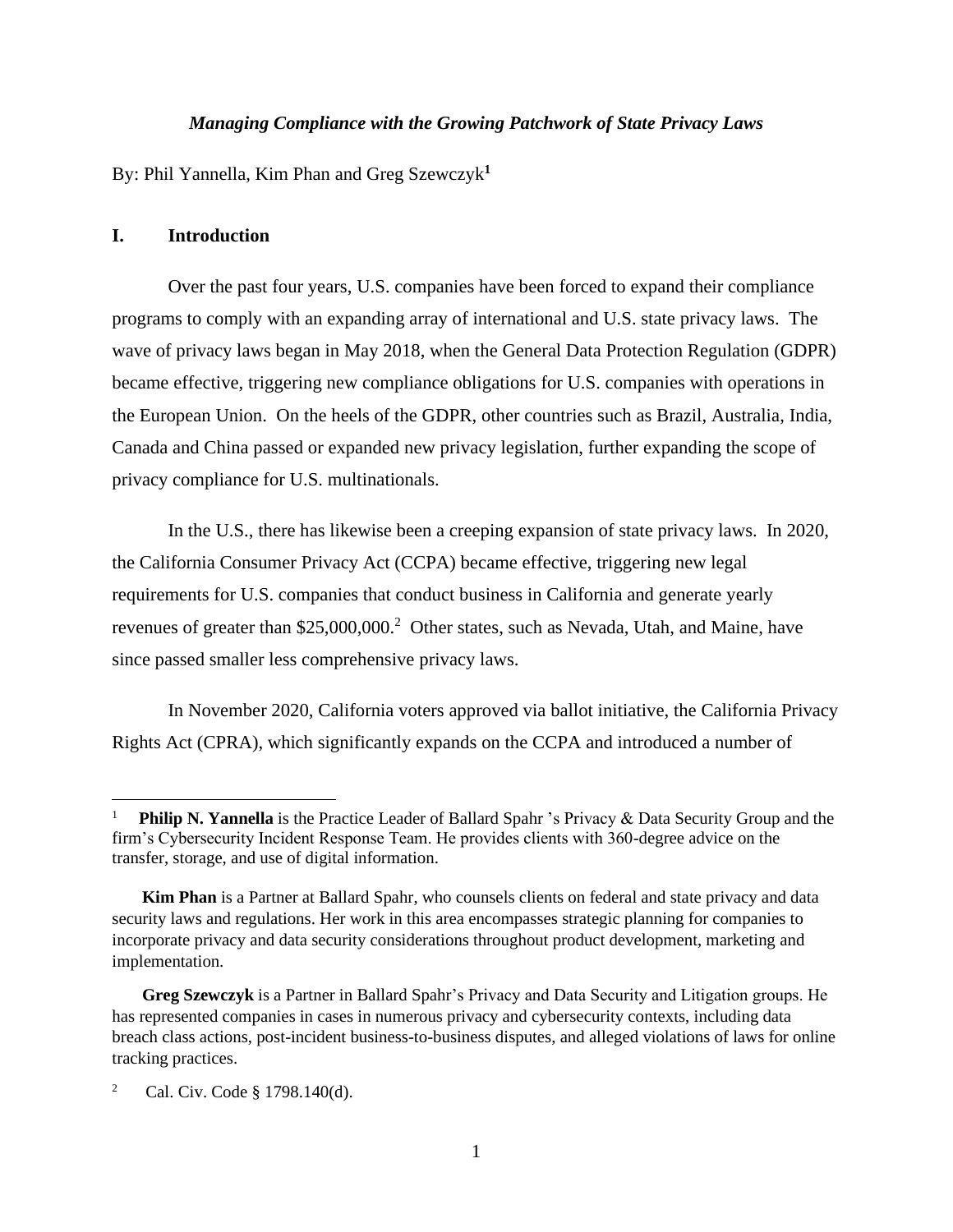### *Managing Compliance with the Growing Patchwork of State Privacy Laws*

By: Phil Yannella, Kim Phan and Greg Szewczyk**<sup>1</sup>**

#### **I. Introduction**

Over the past four years, U.S. companies have been forced to expand their compliance programs to comply with an expanding array of international and U.S. state privacy laws. The wave of privacy laws began in May 2018, when the General Data Protection Regulation (GDPR) became effective, triggering new compliance obligations for U.S. companies with operations in the European Union. On the heels of the GDPR, other countries such as Brazil, Australia, India, Canada and China passed or expanded new privacy legislation, further expanding the scope of privacy compliance for U.S. multinationals.

In the U.S., there has likewise been a creeping expansion of state privacy laws. In 2020, the California Consumer Privacy Act (CCPA) became effective, triggering new legal requirements for U.S. companies that conduct business in California and generate yearly revenues of greater than \$25,000,000.<sup>2</sup> Other states, such as Nevada, Utah, and Maine, have since passed smaller less comprehensive privacy laws.

In November 2020, California voters approved via ballot initiative, the California Privacy Rights Act (CPRA), which significantly expands on the CCPA and introduced a number of

<sup>1</sup> **Philip N. Yannella** is the Practice Leader of Ballard Spahr 's Privacy & Data Security Group and the firm's Cybersecurity Incident Response Team. He provides clients with 360-degree advice on the transfer, storage, and use of digital information.

**Kim Phan** is a Partner at Ballard Spahr, who counsels clients on federal and state privacy and data security laws and regulations. Her work in this area encompasses strategic planning for companies to incorporate privacy and data security considerations throughout product development, marketing and implementation.

**Greg Szewczyk** is a Partner in Ballard Spahr's Privacy and Data Security and Litigation groups. He has represented companies in cases in numerous privacy and cybersecurity contexts, including data breach class actions, post-incident business-to-business disputes, and alleged violations of laws for online tracking practices.

<sup>2</sup> Cal. Civ. Code § 1798.140(d).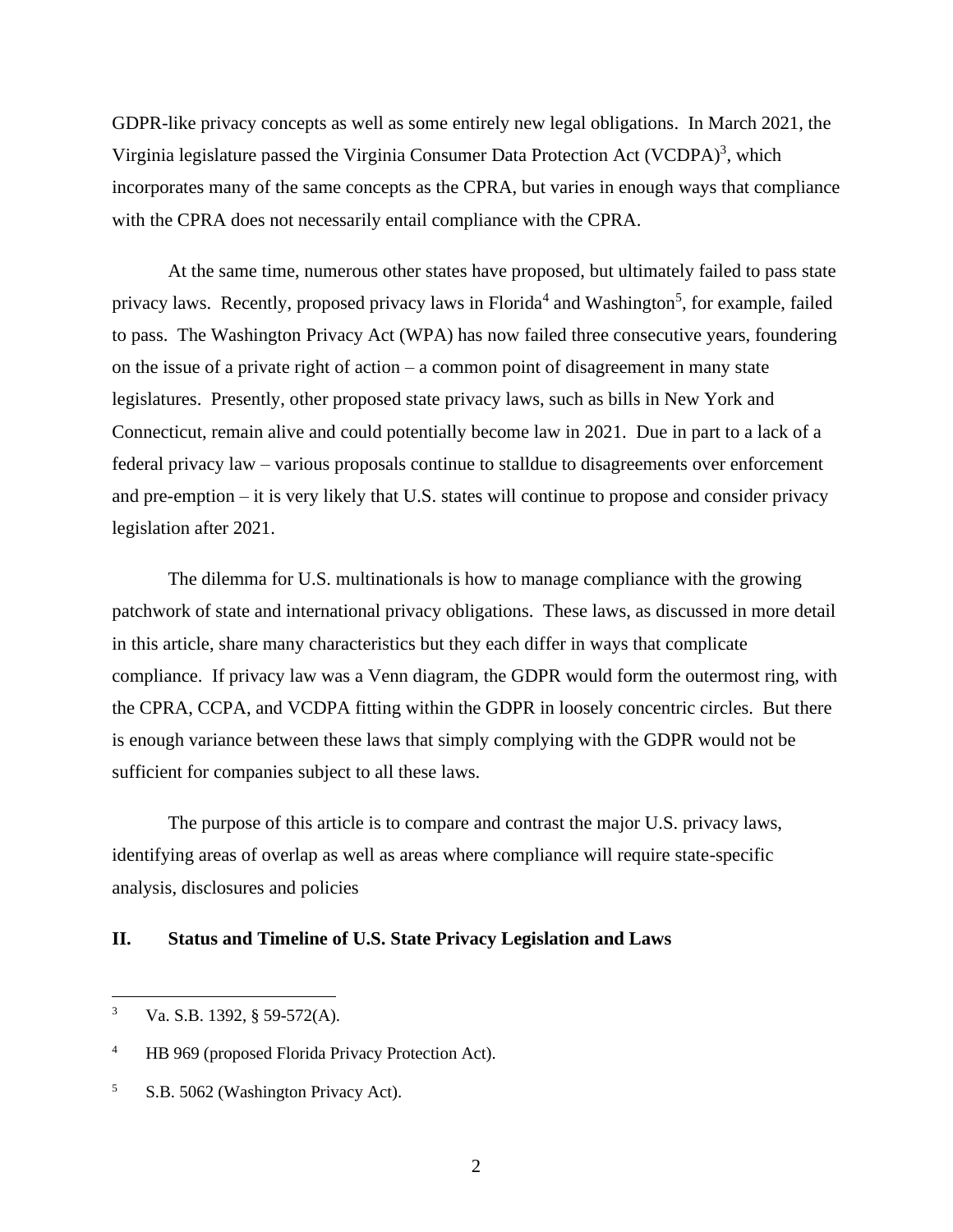GDPR-like privacy concepts as well as some entirely new legal obligations. In March 2021, the Virginia legislature passed the Virginia Consumer Data Protection Act (VCDPA)<sup>3</sup>, which incorporates many of the same concepts as the CPRA, but varies in enough ways that compliance with the CPRA does not necessarily entail compliance with the CPRA.

At the same time, numerous other states have proposed, but ultimately failed to pass state privacy laws. Recently, proposed privacy laws in Florida<sup>4</sup> and Washington<sup>5</sup>, for example, failed to pass. The Washington Privacy Act (WPA) has now failed three consecutive years, foundering on the issue of a private right of action – a common point of disagreement in many state legislatures. Presently, other proposed state privacy laws, such as bills in New York and Connecticut, remain alive and could potentially become law in 2021. Due in part to a lack of a federal privacy law – various proposals continue to stalldue to disagreements over enforcement and pre-emption – it is very likely that U.S. states will continue to propose and consider privacy legislation after 2021.

The dilemma for U.S. multinationals is how to manage compliance with the growing patchwork of state and international privacy obligations. These laws, as discussed in more detail in this article, share many characteristics but they each differ in ways that complicate compliance. If privacy law was a Venn diagram, the GDPR would form the outermost ring, with the CPRA, CCPA, and VCDPA fitting within the GDPR in loosely concentric circles. But there is enough variance between these laws that simply complying with the GDPR would not be sufficient for companies subject to all these laws.

The purpose of this article is to compare and contrast the major U.S. privacy laws, identifying areas of overlap as well as areas where compliance will require state-specific analysis, disclosures and policies

#### **II. Status and Timeline of U.S. State Privacy Legislation and Laws**

 $3$  Va. S.B. 1392, § 59-572(A).

<sup>4</sup> HB 969 (proposed Florida Privacy Protection Act).

<sup>&</sup>lt;sup>5</sup> S.B. 5062 (Washington Privacy Act).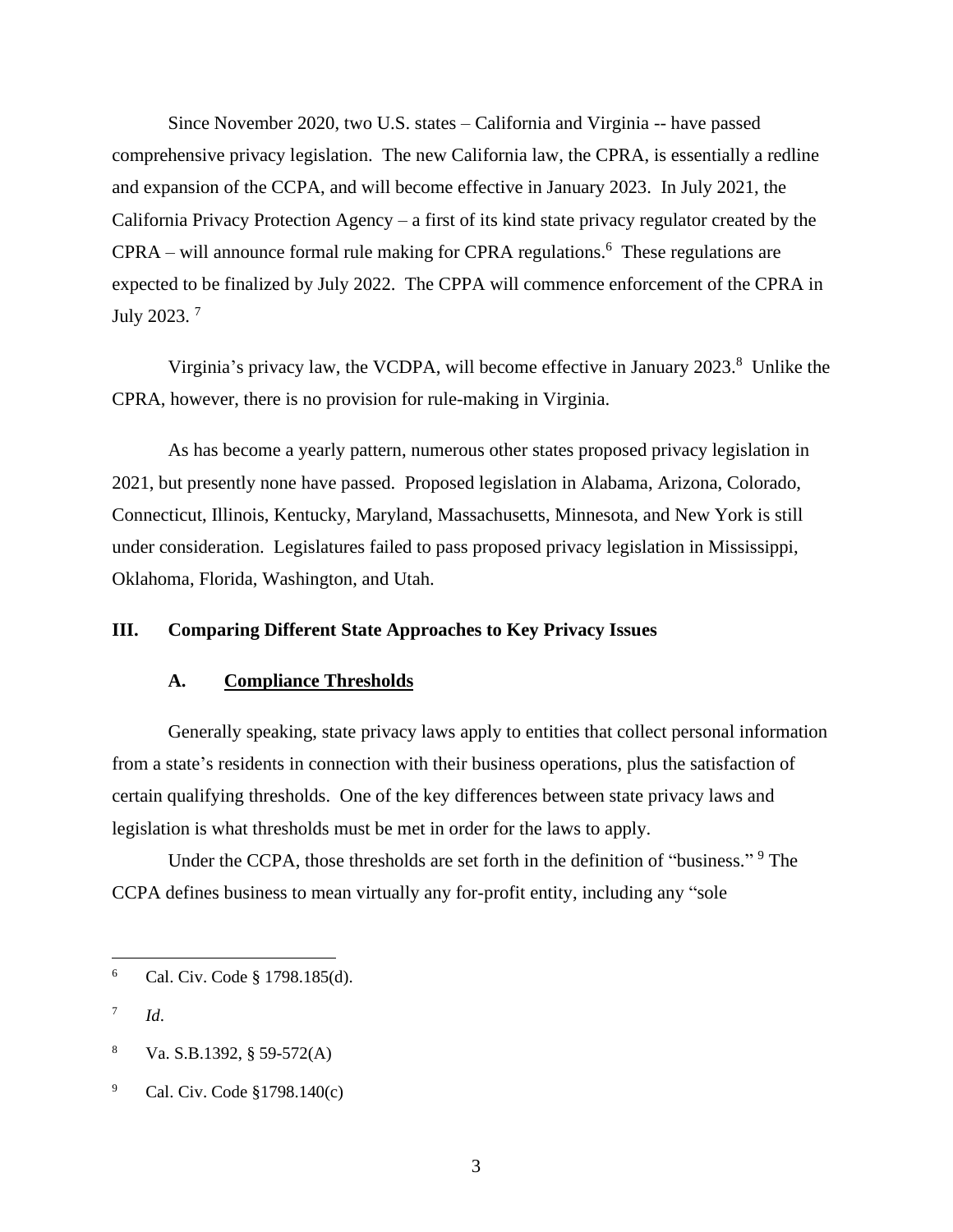Since November 2020, two U.S. states – California and Virginia -- have passed comprehensive privacy legislation. The new California law, the CPRA, is essentially a redline and expansion of the CCPA, and will become effective in January 2023. In July 2021, the California Privacy Protection Agency – a first of its kind state privacy regulator created by the  $CPRA -$  will announce formal rule making for CPRA regulations.<sup>6</sup> These regulations are expected to be finalized by July 2022. The CPPA will commence enforcement of the CPRA in July 2023. <sup>7</sup>

Virginia's privacy law, the VCDPA, will become effective in January 2023.<sup>8</sup> Unlike the CPRA, however, there is no provision for rule-making in Virginia.

As has become a yearly pattern, numerous other states proposed privacy legislation in 2021, but presently none have passed. Proposed legislation in Alabama, Arizona, Colorado, Connecticut, Illinois, Kentucky, Maryland, Massachusetts, Minnesota, and New York is still under consideration. Legislatures failed to pass proposed privacy legislation in Mississippi, Oklahoma, Florida, Washington, and Utah.

### **III. Comparing Different State Approaches to Key Privacy Issues**

#### **A. Compliance Thresholds**

Generally speaking, state privacy laws apply to entities that collect personal information from a state's residents in connection with their business operations, plus the satisfaction of certain qualifying thresholds. One of the key differences between state privacy laws and legislation is what thresholds must be met in order for the laws to apply.

Under the CCPA, those thresholds are set forth in the definition of "business." <sup>9</sup> The CCPA defines business to mean virtually any for-profit entity, including any "sole

<sup>6</sup> Cal. Civ. Code § 1798.185(d).

<sup>7</sup> *Id*.

<sup>8</sup> Va. S.B.1392, § 59-572(A)

<sup>9</sup> Cal. Civ. Code §1798.140(c)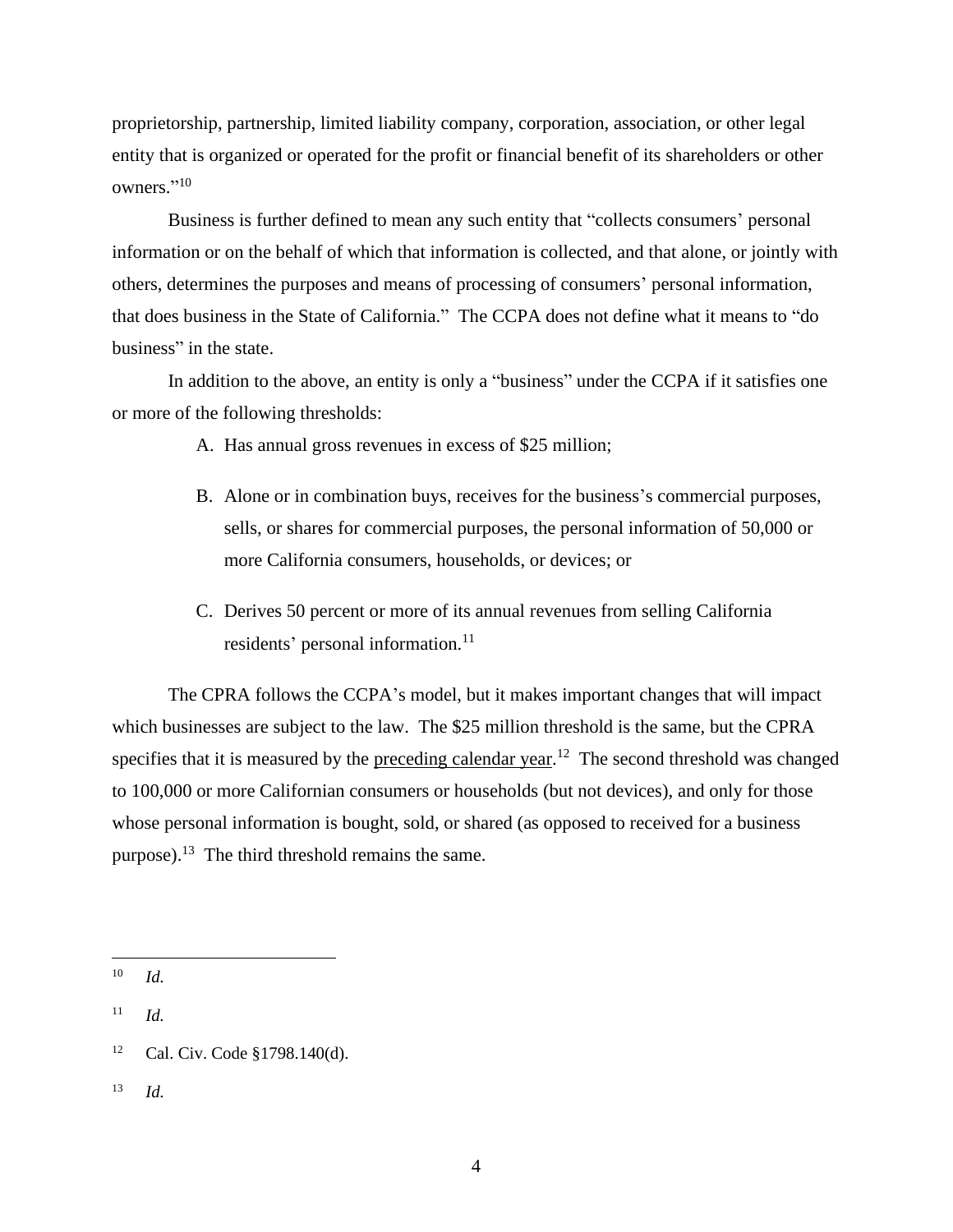proprietorship, partnership, limited liability company, corporation, association, or other legal entity that is organized or operated for the profit or financial benefit of its shareholders or other owners."<sup>10</sup>

Business is further defined to mean any such entity that "collects consumers' personal information or on the behalf of which that information is collected, and that alone, or jointly with others, determines the purposes and means of processing of consumers' personal information, that does business in the State of California." The CCPA does not define what it means to "do business" in the state.

In addition to the above, an entity is only a "business" under the CCPA if it satisfies one or more of the following thresholds:

- A. Has annual gross revenues in excess of \$25 million;
- B. Alone or in combination buys, receives for the business's commercial purposes, sells, or shares for commercial purposes, the personal information of 50,000 or more California consumers, households, or devices; or
- C. Derives 50 percent or more of its annual revenues from selling California residents' personal information.<sup>11</sup>

The CPRA follows the CCPA's model, but it makes important changes that will impact which businesses are subject to the law. The \$25 million threshold is the same, but the CPRA specifies that it is measured by the preceding calendar year.<sup>12</sup> The second threshold was changed to 100,000 or more Californian consumers or households (but not devices), and only for those whose personal information is bought, sold, or shared (as opposed to received for a business purpose).<sup>13</sup> The third threshold remains the same.

<sup>10</sup> *Id.*

 $11$  *Id.* 

<sup>12</sup> Cal. Civ. Code §1798.140(d).

<sup>13</sup> *Id.*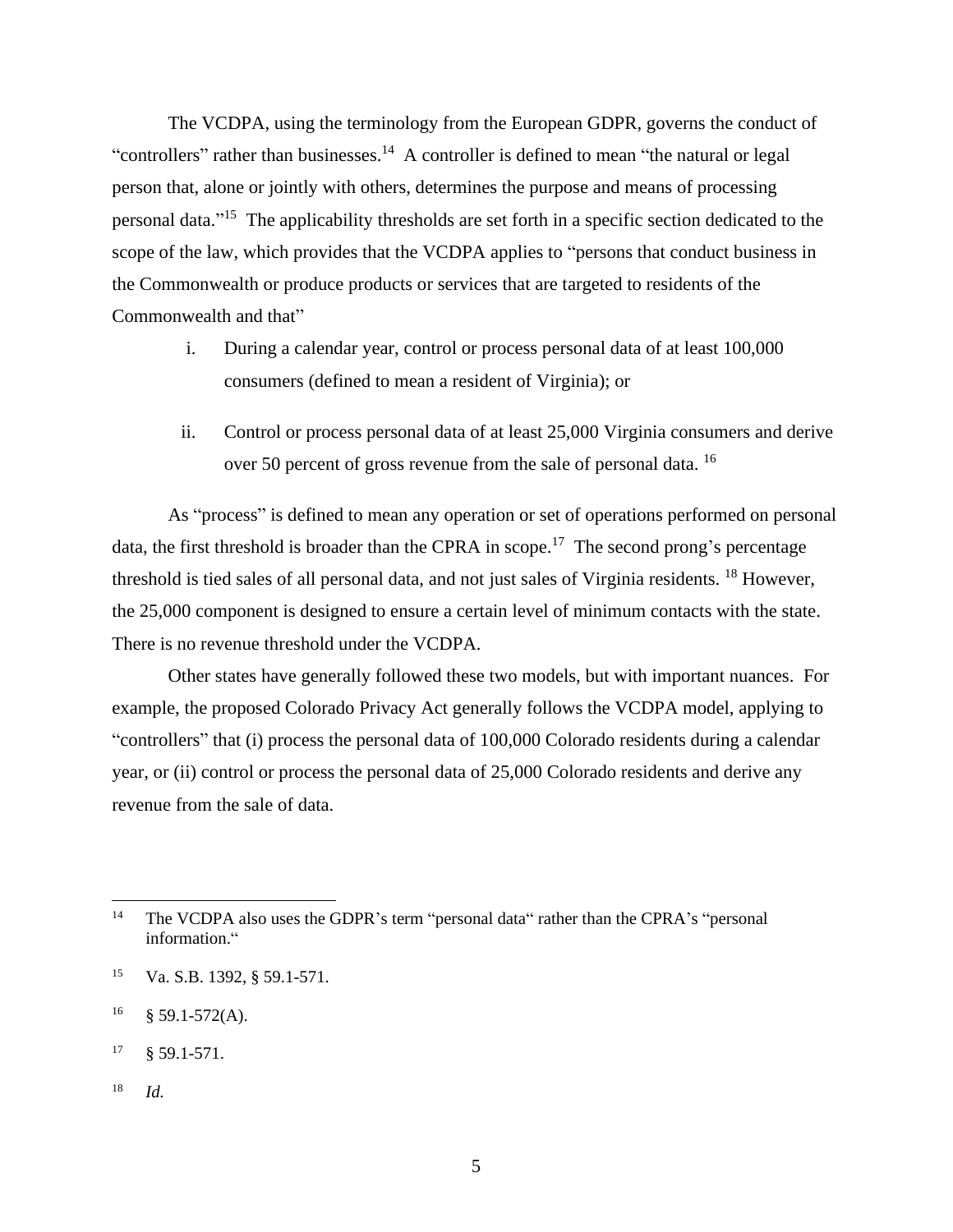The VCDPA, using the terminology from the European GDPR, governs the conduct of "controllers" rather than businesses.<sup>14</sup> A controller is defined to mean "the natural or legal person that, alone or jointly with others, determines the purpose and means of processing personal data." <sup>15</sup> The applicability thresholds are set forth in a specific section dedicated to the scope of the law, which provides that the VCDPA applies to "persons that conduct business in the Commonwealth or produce products or services that are targeted to residents of the Commonwealth and that"

- i. During a calendar year, control or process personal data of at least 100,000 consumers (defined to mean a resident of Virginia); or
- ii. Control or process personal data of at least 25,000 Virginia consumers and derive over 50 percent of gross revenue from the sale of personal data. <sup>16</sup>

As "process" is defined to mean any operation or set of operations performed on personal data, the first threshold is broader than the CPRA in scope.<sup>17</sup> The second prong's percentage threshold is tied sales of all personal data, and not just sales of Virginia residents. <sup>18</sup> However, the 25,000 component is designed to ensure a certain level of minimum contacts with the state. There is no revenue threshold under the VCDPA.

Other states have generally followed these two models, but with important nuances. For example, the proposed Colorado Privacy Act generally follows the VCDPA model, applying to "controllers" that (i) process the personal data of 100,000 Colorado residents during a calendar year, or (ii) control or process the personal data of 25,000 Colorado residents and derive any revenue from the sale of data.

<sup>&</sup>lt;sup>14</sup> The VCDPA also uses the GDPR's term "personal data" rather than the CPRA's "personal information."

<sup>15</sup> Va. S.B. 1392, § 59.1-571.

 $^{16}$  § 59.1-572(A).

 $17 \quad \text{\$} 59.1 - 571.$ 

<sup>18</sup> *Id.*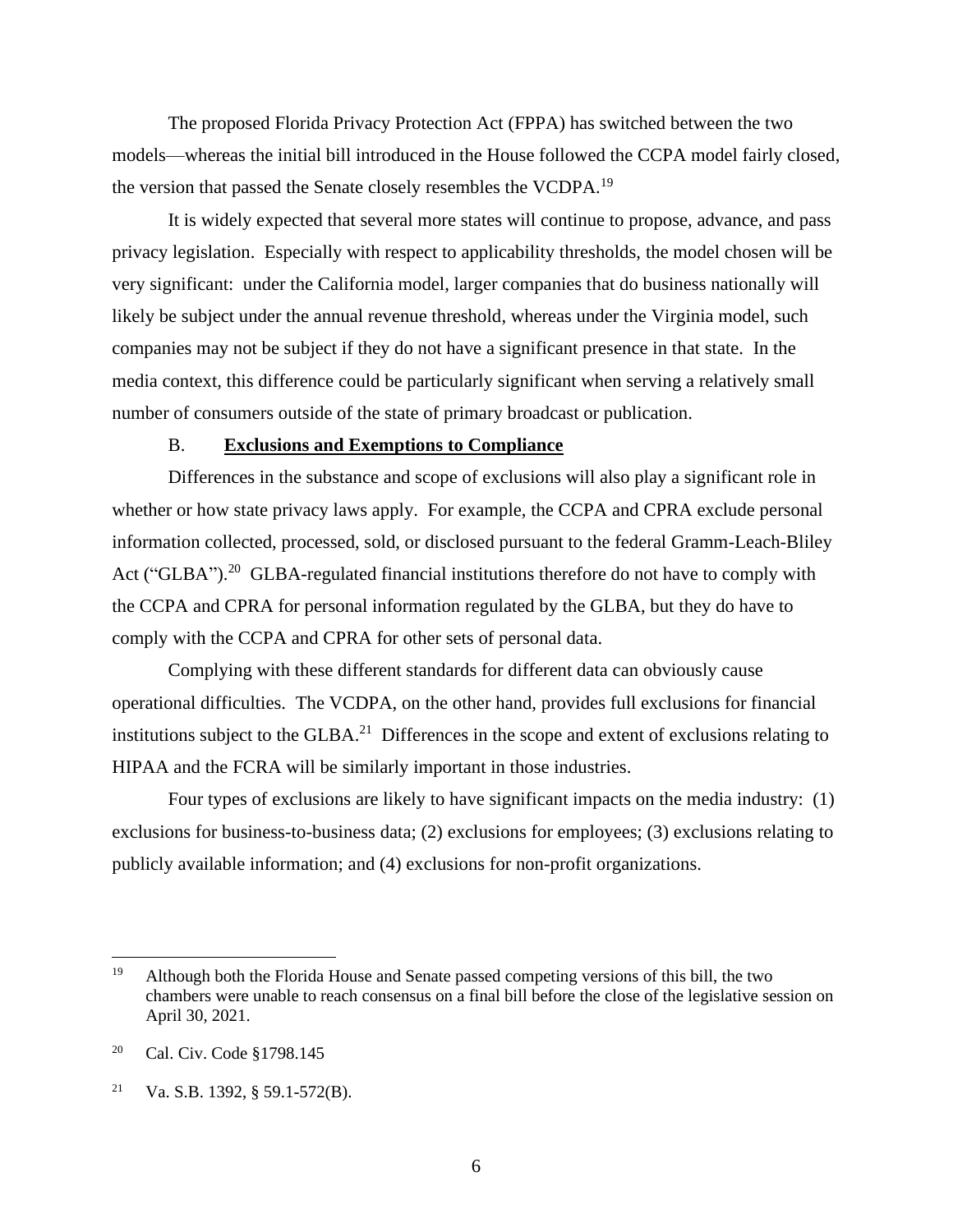The proposed Florida Privacy Protection Act (FPPA) has switched between the two models—whereas the initial bill introduced in the House followed the CCPA model fairly closed, the version that passed the Senate closely resembles the VCDPA.<sup>19</sup>

It is widely expected that several more states will continue to propose, advance, and pass privacy legislation. Especially with respect to applicability thresholds, the model chosen will be very significant: under the California model, larger companies that do business nationally will likely be subject under the annual revenue threshold, whereas under the Virginia model, such companies may not be subject if they do not have a significant presence in that state. In the media context, this difference could be particularly significant when serving a relatively small number of consumers outside of the state of primary broadcast or publication.

# B. **Exclusions and Exemptions to Compliance**

Differences in the substance and scope of exclusions will also play a significant role in whether or how state privacy laws apply. For example, the CCPA and CPRA exclude personal information collected, processed, sold, or disclosed pursuant to the federal Gramm-Leach-Bliley Act ("GLBA").<sup>20</sup> GLBA-regulated financial institutions therefore do not have to comply with the CCPA and CPRA for personal information regulated by the GLBA, but they do have to comply with the CCPA and CPRA for other sets of personal data.

Complying with these different standards for different data can obviously cause operational difficulties. The VCDPA, on the other hand, provides full exclusions for financial institutions subject to the GLBA.<sup>21</sup> Differences in the scope and extent of exclusions relating to HIPAA and the FCRA will be similarly important in those industries.

Four types of exclusions are likely to have significant impacts on the media industry: (1) exclusions for business-to-business data; (2) exclusions for employees; (3) exclusions relating to publicly available information; and (4) exclusions for non-profit organizations.

<sup>&</sup>lt;sup>19</sup> Although both the Florida House and Senate passed competing versions of this bill, the two chambers were unable to reach consensus on a final bill before the close of the legislative session on April 30, 2021.

<sup>20</sup> Cal. Civ. Code §1798.145

<sup>&</sup>lt;sup>21</sup> Va. S.B. 1392, § 59.1-572(B).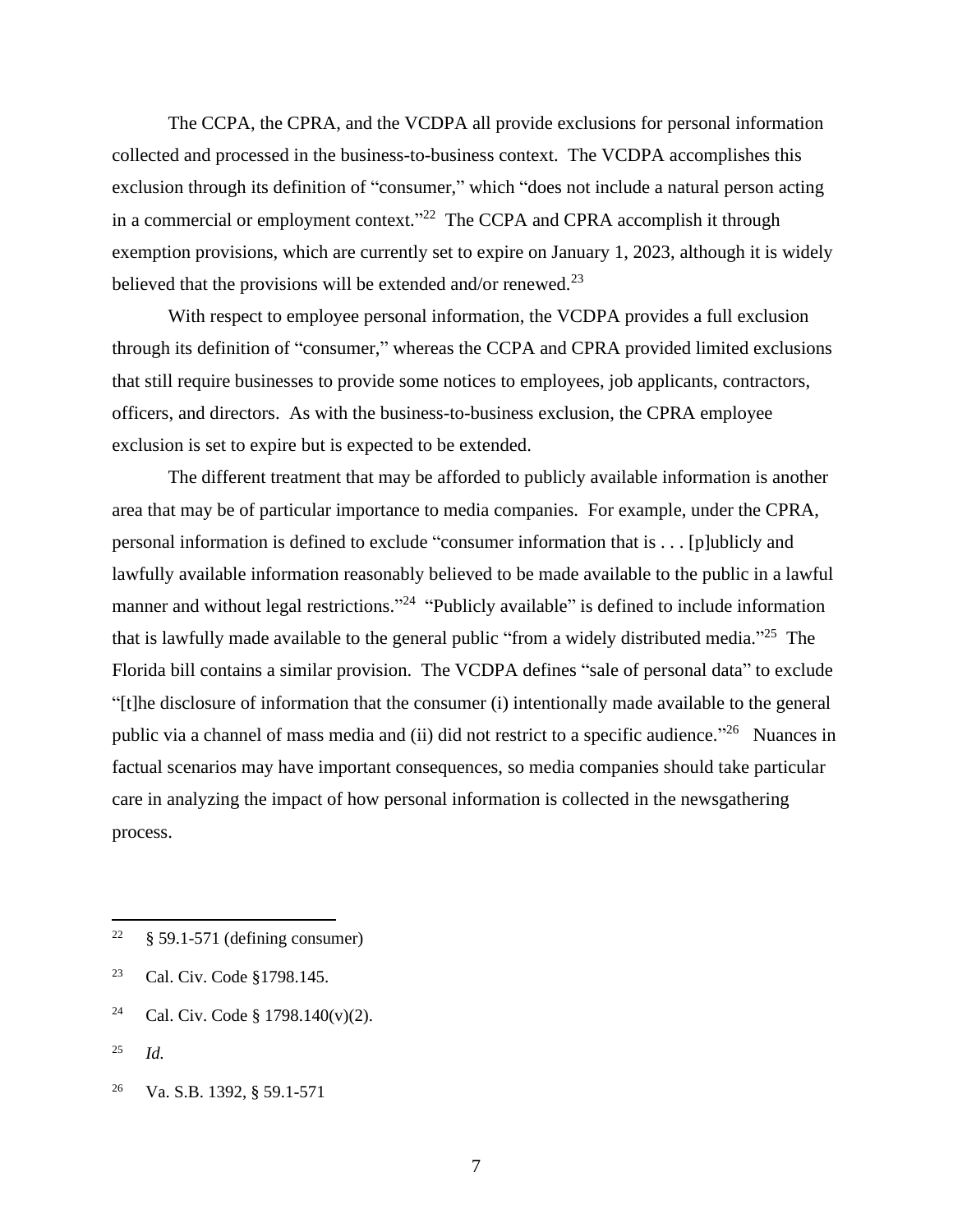The CCPA, the CPRA, and the VCDPA all provide exclusions for personal information collected and processed in the business-to-business context. The VCDPA accomplishes this exclusion through its definition of "consumer," which "does not include a natural person acting in a commercial or employment context."<sup>22</sup> The CCPA and CPRA accomplish it through exemption provisions, which are currently set to expire on January 1, 2023, although it is widely believed that the provisions will be extended and/or renewed.<sup>23</sup>

With respect to employee personal information, the VCDPA provides a full exclusion through its definition of "consumer," whereas the CCPA and CPRA provided limited exclusions that still require businesses to provide some notices to employees, job applicants, contractors, officers, and directors. As with the business-to-business exclusion, the CPRA employee exclusion is set to expire but is expected to be extended.

The different treatment that may be afforded to publicly available information is another area that may be of particular importance to media companies. For example, under the CPRA, personal information is defined to exclude "consumer information that is . . . [p]ublicly and lawfully available information reasonably believed to be made available to the public in a lawful manner and without legal restrictions."<sup>24</sup> "Publicly available" is defined to include information that is lawfully made available to the general public "from a widely distributed media."<sup>25</sup> The Florida bill contains a similar provision. The VCDPA defines "sale of personal data" to exclude "[t]he disclosure of information that the consumer (i) intentionally made available to the general public via a channel of mass media and (ii) did not restrict to a specific audience."<sup>26</sup> Nuances in factual scenarios may have important consequences, so media companies should take particular care in analyzing the impact of how personal information is collected in the newsgathering process.

- <sup>24</sup> Cal. Civ. Code § 1798.140(v)(2).
- <sup>25</sup> *Id.*

 $22 \frac{1}{5}$  \$ 59.1-571 (defining consumer)

<sup>23</sup> Cal. Civ. Code §1798.145.

<sup>26</sup> Va. S.B. 1392, § 59.1-571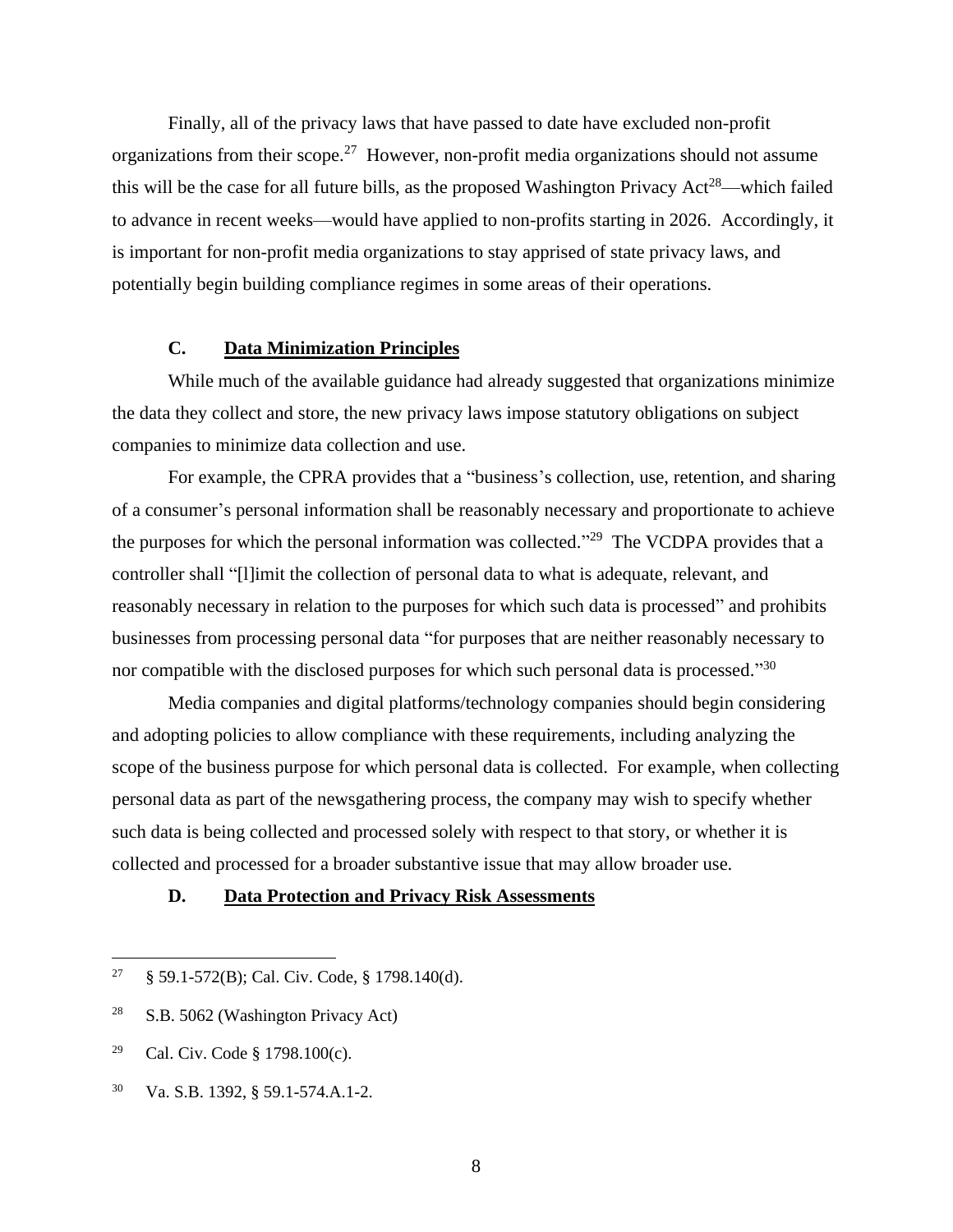Finally, all of the privacy laws that have passed to date have excluded non-profit organizations from their scope.<sup>27</sup> However, non-profit media organizations should not assume this will be the case for all future bills, as the proposed Washington Privacy Act<sup>28</sup>—which failed to advance in recent weeks—would have applied to non-profits starting in 2026. Accordingly, it is important for non-profit media organizations to stay apprised of state privacy laws, and potentially begin building compliance regimes in some areas of their operations.

# **C. Data Minimization Principles**

While much of the available guidance had already suggested that organizations minimize the data they collect and store, the new privacy laws impose statutory obligations on subject companies to minimize data collection and use.

For example, the CPRA provides that a "business's collection, use, retention, and sharing of a consumer's personal information shall be reasonably necessary and proportionate to achieve the purposes for which the personal information was collected."<sup>29</sup> The VCDPA provides that a controller shall "[l]imit the collection of personal data to what is adequate, relevant, and reasonably necessary in relation to the purposes for which such data is processed" and prohibits businesses from processing personal data "for purposes that are neither reasonably necessary to nor compatible with the disclosed purposes for which such personal data is processed."30

Media companies and digital platforms/technology companies should begin considering and adopting policies to allow compliance with these requirements, including analyzing the scope of the business purpose for which personal data is collected. For example, when collecting personal data as part of the newsgathering process, the company may wish to specify whether such data is being collected and processed solely with respect to that story, or whether it is collected and processed for a broader substantive issue that may allow broader use.

### **D. Data Protection and Privacy Risk Assessments**

<sup>&</sup>lt;sup>27</sup> § 59.1-572(B); Cal. Civ. Code, § 1798.140(d).

<sup>&</sup>lt;sup>28</sup> S.B. 5062 (Washington Privacy Act)

<sup>29</sup> Cal. Civ. Code § 1798.100(c).

<sup>30</sup> Va. S.B. 1392, § 59.1-574.A.1-2.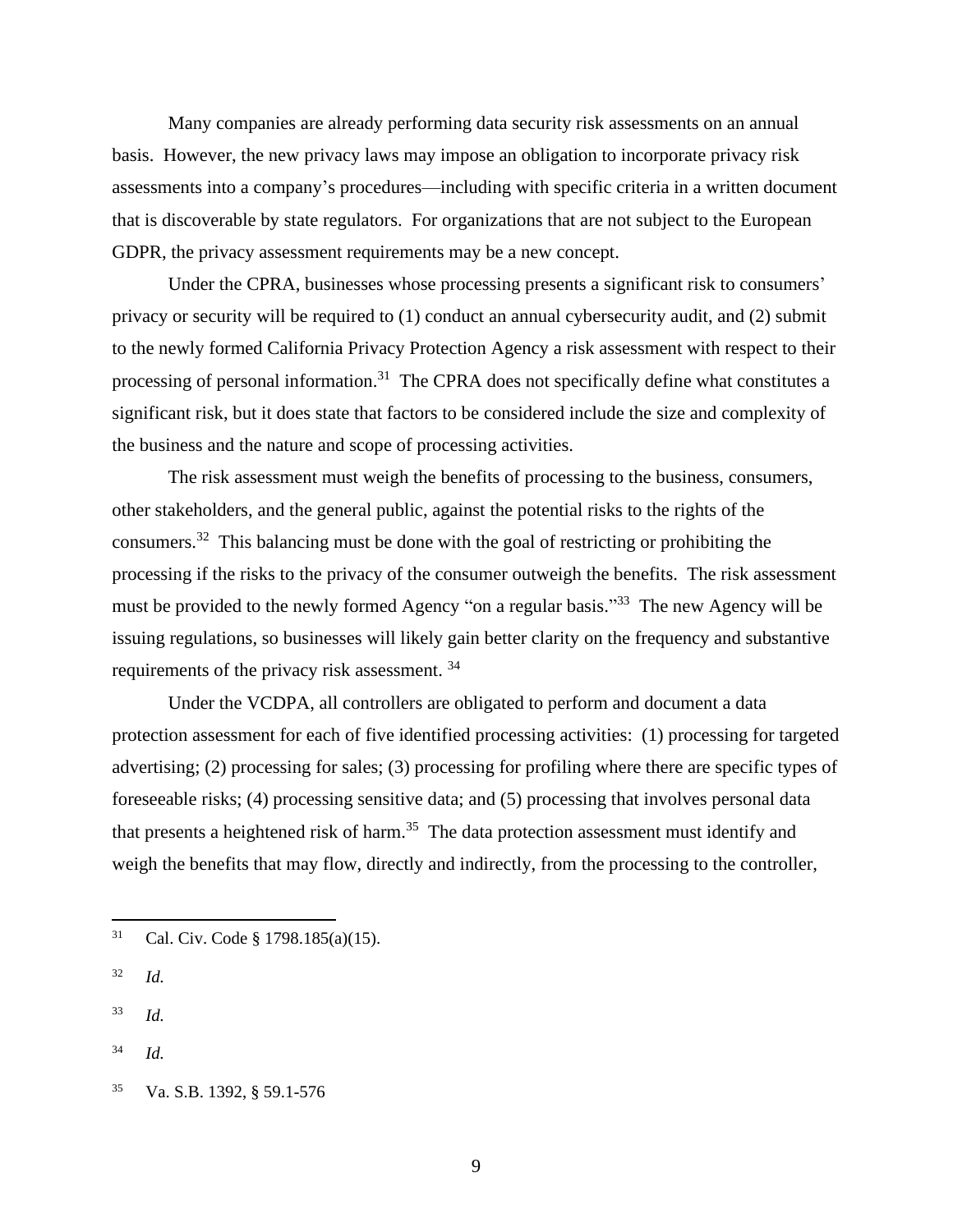Many companies are already performing data security risk assessments on an annual basis. However, the new privacy laws may impose an obligation to incorporate privacy risk assessments into a company's procedures—including with specific criteria in a written document that is discoverable by state regulators. For organizations that are not subject to the European GDPR, the privacy assessment requirements may be a new concept.

Under the CPRA, businesses whose processing presents a significant risk to consumers' privacy or security will be required to (1) conduct an annual cybersecurity audit, and (2) submit to the newly formed California Privacy Protection Agency a risk assessment with respect to their processing of personal information.<sup>31</sup> The CPRA does not specifically define what constitutes a significant risk, but it does state that factors to be considered include the size and complexity of the business and the nature and scope of processing activities.

The risk assessment must weigh the benefits of processing to the business, consumers, other stakeholders, and the general public, against the potential risks to the rights of the consumers.<sup>32</sup> This balancing must be done with the goal of restricting or prohibiting the processing if the risks to the privacy of the consumer outweigh the benefits. The risk assessment must be provided to the newly formed Agency "on a regular basis."<sup>33</sup> The new Agency will be issuing regulations, so businesses will likely gain better clarity on the frequency and substantive requirements of the privacy risk assessment.<sup>34</sup>

Under the VCDPA, all controllers are obligated to perform and document a data protection assessment for each of five identified processing activities: (1) processing for targeted advertising; (2) processing for sales; (3) processing for profiling where there are specific types of foreseeable risks; (4) processing sensitive data; and (5) processing that involves personal data that presents a heightened risk of harm.<sup>35</sup> The data protection assessment must identify and weigh the benefits that may flow, directly and indirectly, from the processing to the controller,

- <sup>32</sup> *Id.*
- <sup>33</sup> *Id.*
- <sup>34</sup> *Id.*

<sup>31</sup> Cal. Civ. Code § 1798.185(a)(15).

<sup>35</sup> Va. S.B. 1392, § 59.1-576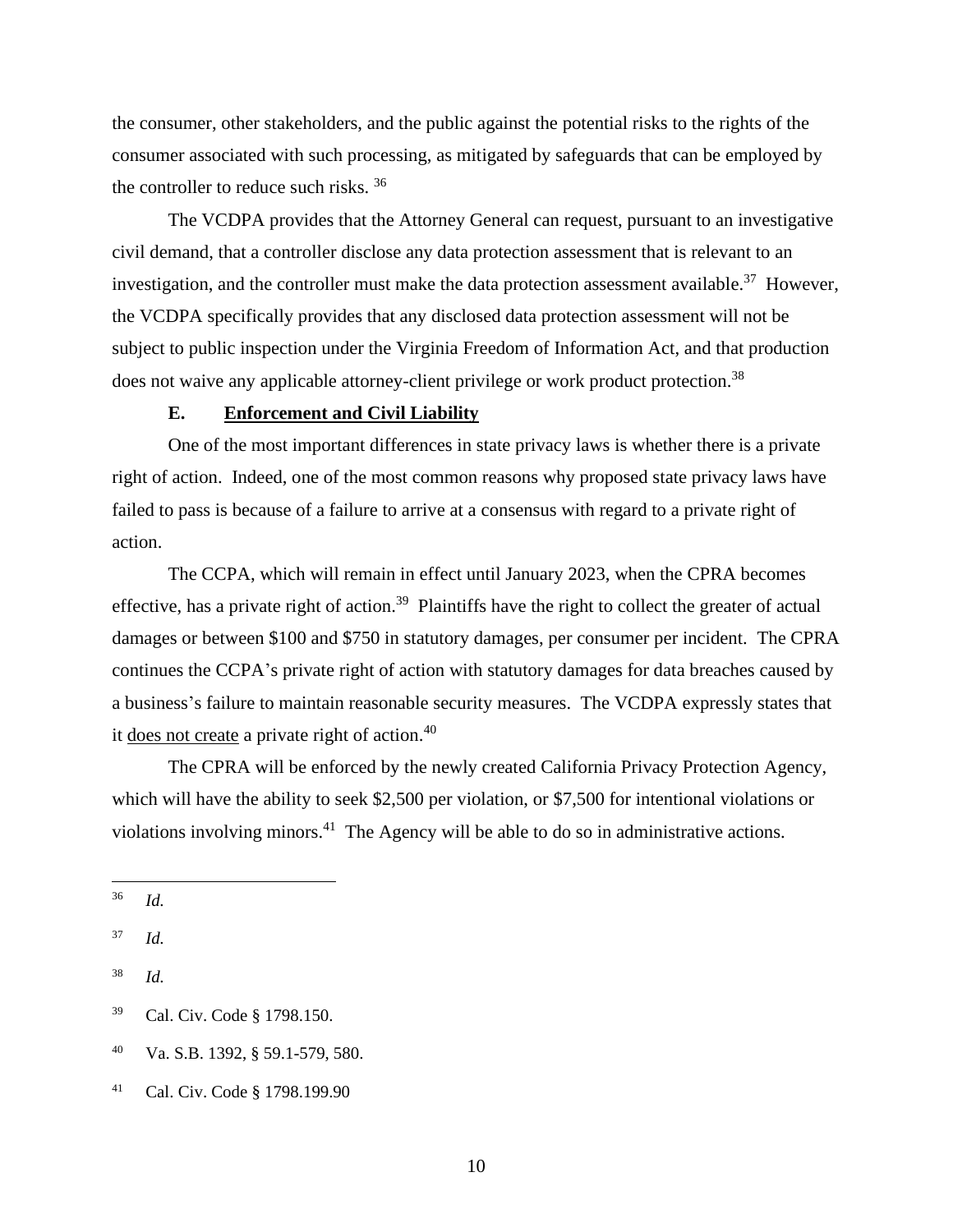the consumer, other stakeholders, and the public against the potential risks to the rights of the consumer associated with such processing, as mitigated by safeguards that can be employed by the controller to reduce such risks. <sup>36</sup>

The VCDPA provides that the Attorney General can request, pursuant to an investigative civil demand, that a controller disclose any data protection assessment that is relevant to an investigation, and the controller must make the data protection assessment available.<sup>37</sup> However, the VCDPA specifically provides that any disclosed data protection assessment will not be subject to public inspection under the Virginia Freedom of Information Act, and that production does not waive any applicable attorney-client privilege or work product protection.<sup>38</sup>

### **E. Enforcement and Civil Liability**

One of the most important differences in state privacy laws is whether there is a private right of action. Indeed, one of the most common reasons why proposed state privacy laws have failed to pass is because of a failure to arrive at a consensus with regard to a private right of action.

The CCPA, which will remain in effect until January 2023, when the CPRA becomes effective, has a private right of action.<sup>39</sup> Plaintiffs have the right to collect the greater of actual damages or between \$100 and \$750 in statutory damages, per consumer per incident. The CPRA continues the CCPA's private right of action with statutory damages for data breaches caused by a business's failure to maintain reasonable security measures. The VCDPA expressly states that it <u>does not create</u> a private right of action.<sup>40</sup>

The CPRA will be enforced by the newly created California Privacy Protection Agency, which will have the ability to seek \$2,500 per violation, or \$7,500 for intentional violations or violations involving minors.<sup>41</sup> The Agency will be able to do so in administrative actions.

<sup>37</sup> *Id.*

<sup>36</sup> *Id.*

<sup>38</sup> *Id.*

<sup>39</sup> Cal. Civ. Code § 1798.150.

<sup>40</sup> Va. S.B. 1392, § 59.1-579, 580.

<sup>41</sup> Cal. Civ. Code § 1798.199.90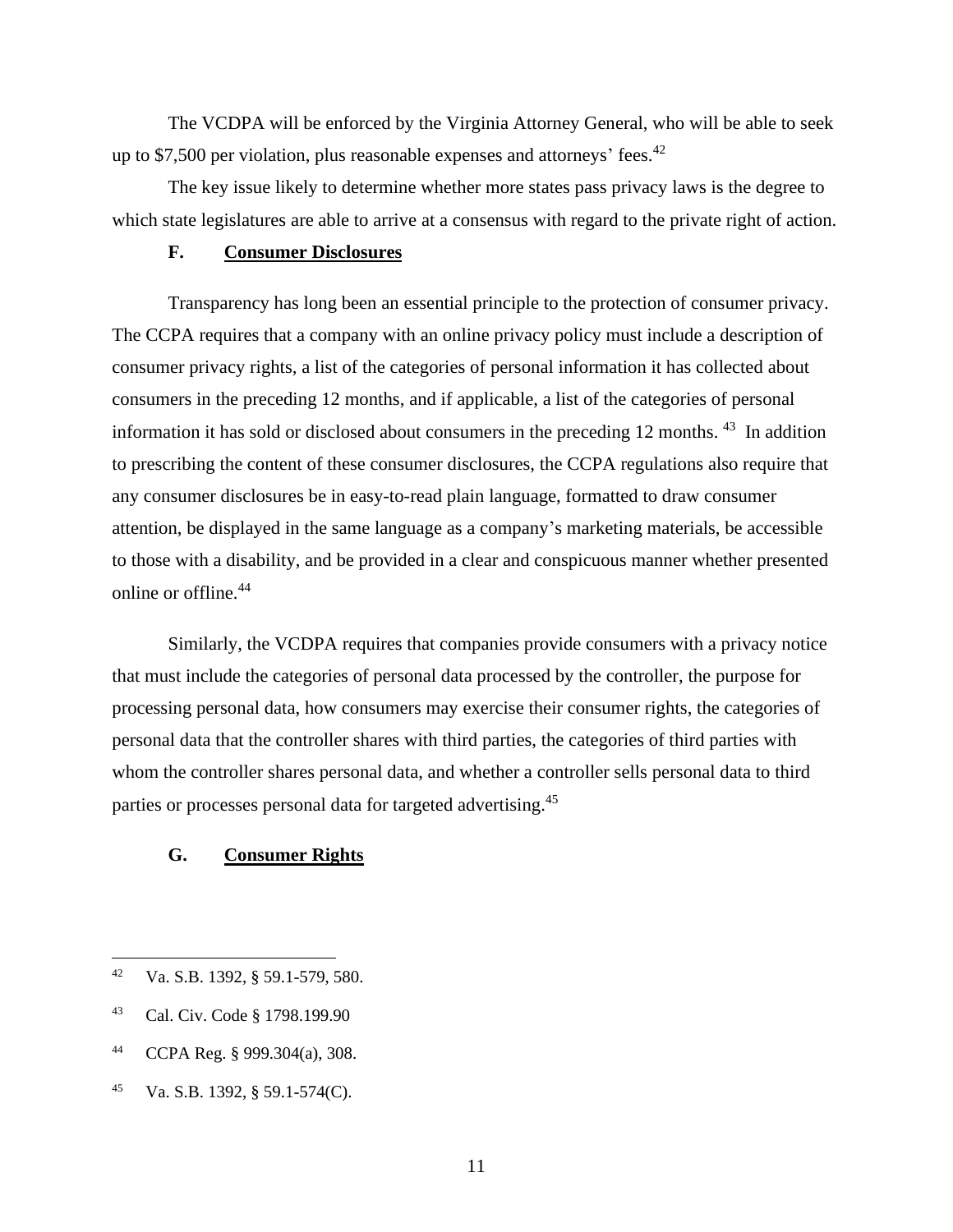The VCDPA will be enforced by the Virginia Attorney General, who will be able to seek up to \$7,500 per violation, plus reasonable expenses and attorneys' fees.<sup>42</sup>

The key issue likely to determine whether more states pass privacy laws is the degree to which state legislatures are able to arrive at a consensus with regard to the private right of action.

### **F. Consumer Disclosures**

Transparency has long been an essential principle to the protection of consumer privacy. The CCPA requires that a company with an online privacy policy must include a description of consumer privacy rights, a list of the categories of personal information it has collected about consumers in the preceding 12 months, and if applicable, a list of the categories of personal information it has sold or disclosed about consumers in the preceding 12 months. <sup>43</sup> In addition to prescribing the content of these consumer disclosures, the CCPA regulations also require that any consumer disclosures be in easy-to-read plain language, formatted to draw consumer attention, be displayed in the same language as a company's marketing materials, be accessible to those with a disability, and be provided in a clear and conspicuous manner whether presented online or offline.<sup>44</sup>

Similarly, the VCDPA requires that companies provide consumers with a privacy notice that must include the categories of personal data processed by the controller, the purpose for processing personal data, how consumers may exercise their consumer rights, the categories of personal data that the controller shares with third parties, the categories of third parties with whom the controller shares personal data, and whether a controller sells personal data to third parties or processes personal data for targeted advertising.<sup>45</sup>

### **G. Consumer Rights**

- <sup>44</sup> CCPA Reg. § 999.304(a), 308.
- <sup>45</sup> Va. S.B. 1392, § 59.1-574(C).

<sup>42</sup> Va. S.B. 1392, § 59.1-579, 580.

<sup>43</sup> Cal. Civ. Code § 1798.199.90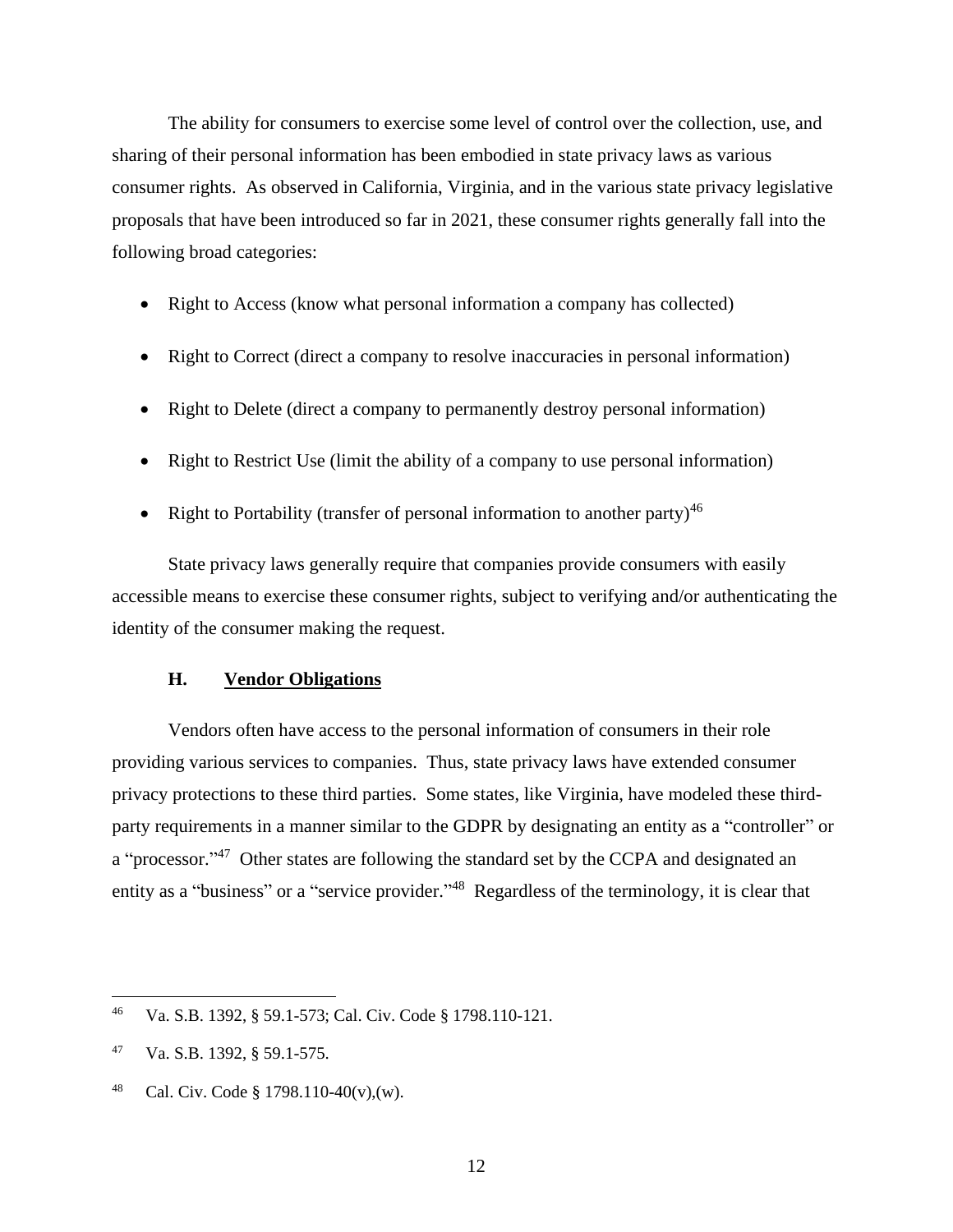The ability for consumers to exercise some level of control over the collection, use, and sharing of their personal information has been embodied in state privacy laws as various consumer rights. As observed in California, Virginia, and in the various state privacy legislative proposals that have been introduced so far in 2021, these consumer rights generally fall into the following broad categories:

- Right to Access (know what personal information a company has collected)
- Right to Correct (direct a company to resolve inaccuracies in personal information)
- Right to Delete (direct a company to permanently destroy personal information)
- Right to Restrict Use (limit the ability of a company to use personal information)
- Right to Portability (transfer of personal information to another party)<sup>46</sup>

State privacy laws generally require that companies provide consumers with easily accessible means to exercise these consumer rights, subject to verifying and/or authenticating the identity of the consumer making the request.

### **H. Vendor Obligations**

Vendors often have access to the personal information of consumers in their role providing various services to companies. Thus, state privacy laws have extended consumer privacy protections to these third parties. Some states, like Virginia, have modeled these thirdparty requirements in a manner similar to the GDPR by designating an entity as a "controller" or a "processor."<sup>47</sup> Other states are following the standard set by the CCPA and designated an entity as a "business" or a "service provider."<sup>48</sup> Regardless of the terminology, it is clear that

48 Cal. Civ. Code § 1798.110-40(v), (w).

<sup>46</sup> Va. S.B. 1392, § 59.1-573; Cal. Civ. Code § 1798.110-121.

<sup>47</sup> Va. S.B. 1392, § 59.1-575.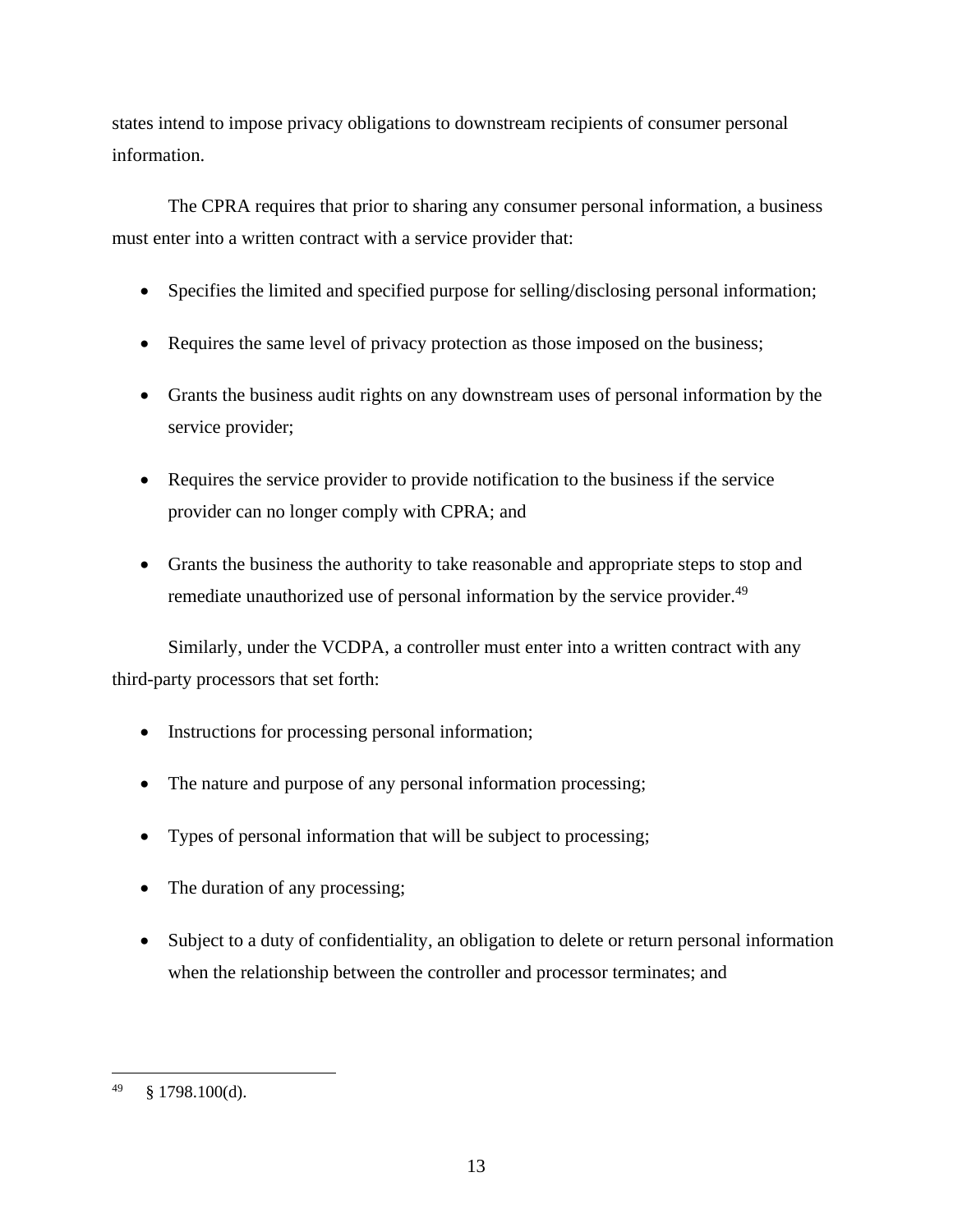states intend to impose privacy obligations to downstream recipients of consumer personal information.

The CPRA requires that prior to sharing any consumer personal information, a business must enter into a written contract with a service provider that:

- Specifies the limited and specified purpose for selling/disclosing personal information;
- Requires the same level of privacy protection as those imposed on the business;
- Grants the business audit rights on any downstream uses of personal information by the service provider;
- Requires the service provider to provide notification to the business if the service provider can no longer comply with CPRA; and
- Grants the business the authority to take reasonable and appropriate steps to stop and remediate unauthorized use of personal information by the service provider.<sup>49</sup>

Similarly, under the VCDPA, a controller must enter into a written contract with any third-party processors that set forth:

- Instructions for processing personal information;
- The nature and purpose of any personal information processing;
- Types of personal information that will be subject to processing;
- The duration of any processing;
- Subject to a duty of confidentiality, an obligation to delete or return personal information when the relationship between the controller and processor terminates; and

<sup>49</sup> § 1798.100(d).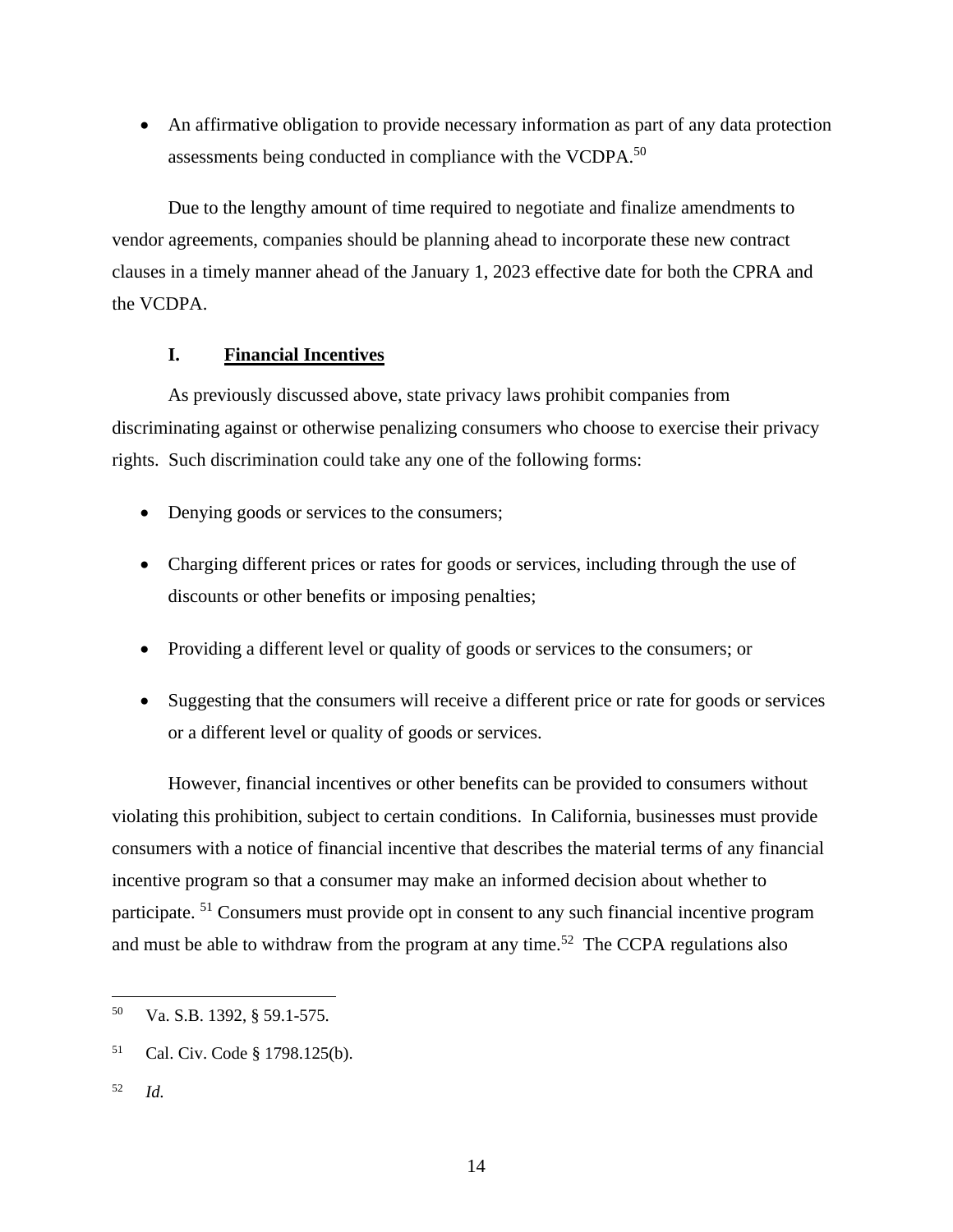• An affirmative obligation to provide necessary information as part of any data protection assessments being conducted in compliance with the VCDPA.<sup>50</sup>

Due to the lengthy amount of time required to negotiate and finalize amendments to vendor agreements, companies should be planning ahead to incorporate these new contract clauses in a timely manner ahead of the January 1, 2023 effective date for both the CPRA and the VCDPA.

### **I. Financial Incentives**

As previously discussed above, state privacy laws prohibit companies from discriminating against or otherwise penalizing consumers who choose to exercise their privacy rights. Such discrimination could take any one of the following forms:

- Denying goods or services to the consumers;
- Charging different prices or rates for goods or services, including through the use of discounts or other benefits or imposing penalties;
- Providing a different level or quality of goods or services to the consumers; or
- Suggesting that the consumers will receive a different price or rate for goods or services or a different level or quality of goods or services.

However, financial incentives or other benefits can be provided to consumers without violating this prohibition, subject to certain conditions. In California, businesses must provide consumers with a notice of financial incentive that describes the material terms of any financial incentive program so that a consumer may make an informed decision about whether to participate. <sup>51</sup> Consumers must provide opt in consent to any such financial incentive program and must be able to withdraw from the program at any time.<sup>52</sup> The CCPA regulations also

<sup>52</sup> *Id.*

<sup>50</sup> Va. S.B. 1392, § 59.1-575.

<sup>51</sup> Cal. Civ. Code § 1798.125(b).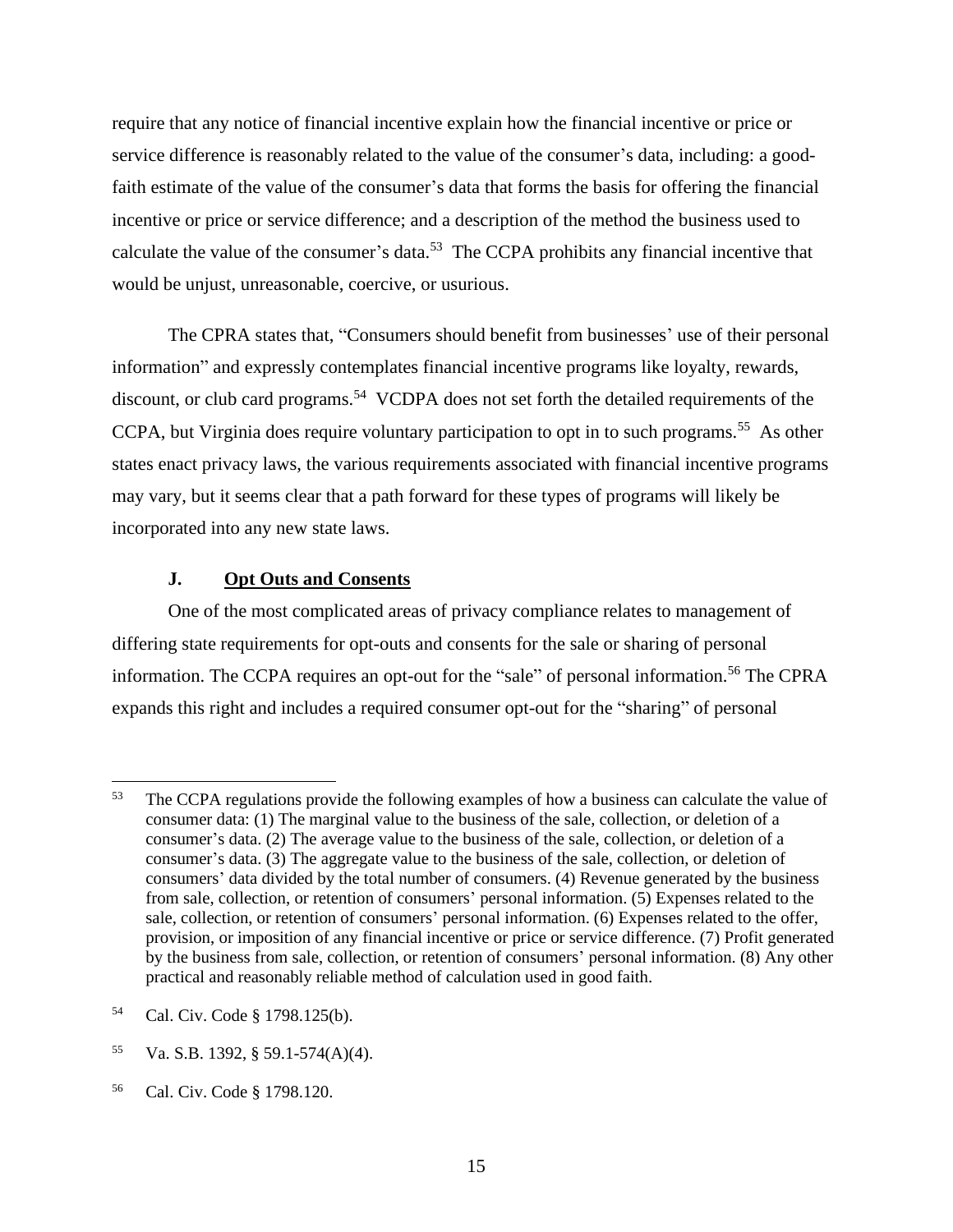require that any notice of financial incentive explain how the financial incentive or price or service difference is reasonably related to the value of the consumer's data, including: a goodfaith estimate of the value of the consumer's data that forms the basis for offering the financial incentive or price or service difference; and a description of the method the business used to calculate the value of the consumer's data.<sup>53</sup> The CCPA prohibits any financial incentive that would be unjust, unreasonable, coercive, or usurious.

The CPRA states that, "Consumers should benefit from businesses' use of their personal information" and expressly contemplates financial incentive programs like loyalty, rewards, discount, or club card programs.<sup>54</sup> VCDPA does not set forth the detailed requirements of the CCPA, but Virginia does require voluntary participation to opt in to such programs.<sup>55</sup> As other states enact privacy laws, the various requirements associated with financial incentive programs may vary, but it seems clear that a path forward for these types of programs will likely be incorporated into any new state laws.

### **J. Opt Outs and Consents**

One of the most complicated areas of privacy compliance relates to management of differing state requirements for opt-outs and consents for the sale or sharing of personal information. The CCPA requires an opt-out for the "sale" of personal information.<sup>56</sup> The CPRA expands this right and includes a required consumer opt-out for the "sharing" of personal

<sup>&</sup>lt;sup>53</sup> The CCPA regulations provide the following examples of how a business can calculate the value of consumer data: (1) The marginal value to the business of the sale, collection, or deletion of a consumer's data. (2) The average value to the business of the sale, collection, or deletion of a consumer's data. (3) The aggregate value to the business of the sale, collection, or deletion of consumers' data divided by the total number of consumers. (4) Revenue generated by the business from sale, collection, or retention of consumers' personal information. (5) Expenses related to the sale, collection, or retention of consumers' personal information. (6) Expenses related to the offer, provision, or imposition of any financial incentive or price or service difference. (7) Profit generated by the business from sale, collection, or retention of consumers' personal information. (8) Any other practical and reasonably reliable method of calculation used in good faith.

<sup>54</sup> Cal. Civ. Code § 1798.125(b).

<sup>55</sup> Va. S.B. 1392, § 59.1-574(A)(4).

<sup>56</sup> Cal. Civ. Code § 1798.120.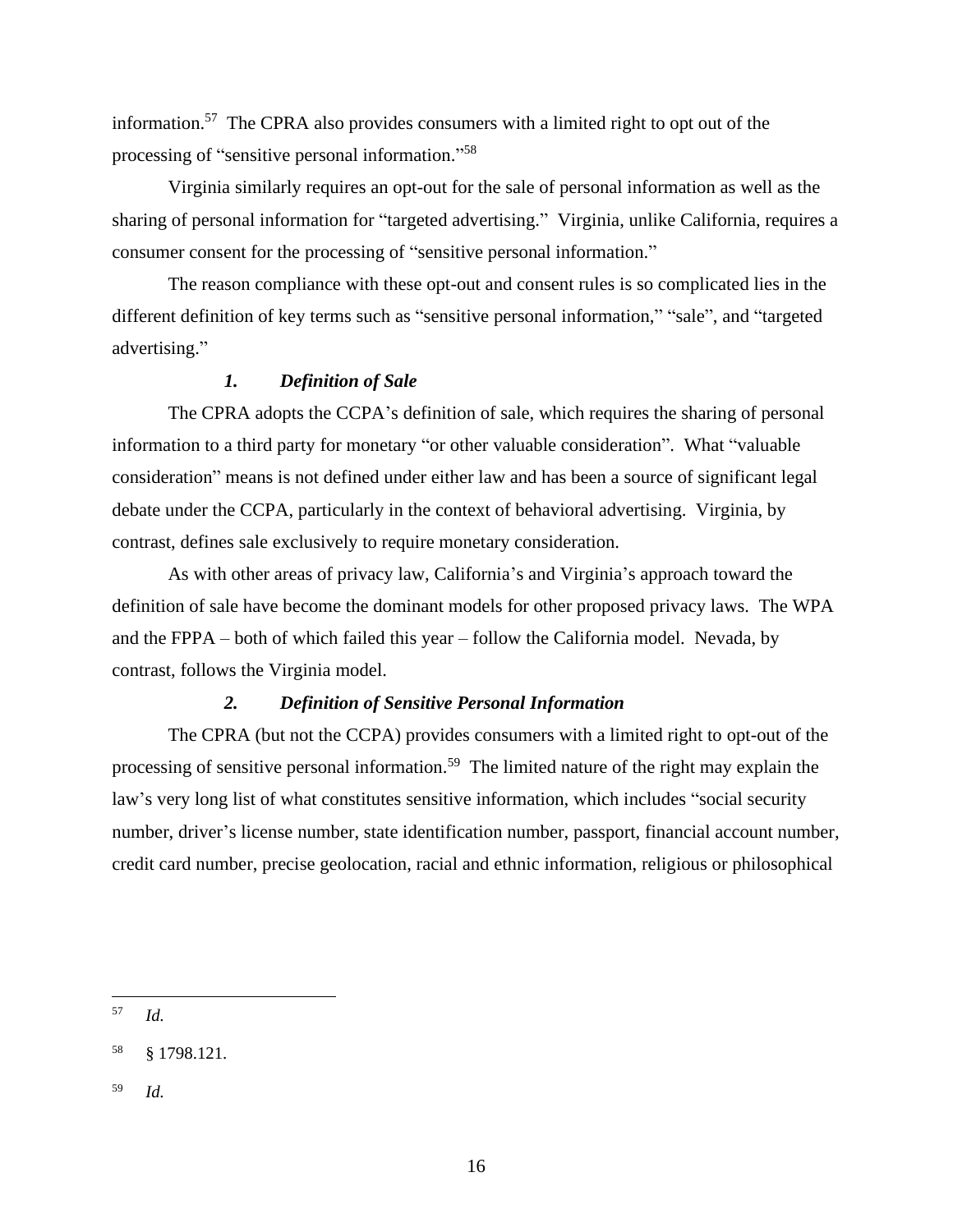information.<sup>57</sup> The CPRA also provides consumers with a limited right to opt out of the processing of "sensitive personal information."<sup>58</sup>

Virginia similarly requires an opt-out for the sale of personal information as well as the sharing of personal information for "targeted advertising." Virginia, unlike California, requires a consumer consent for the processing of "sensitive personal information."

The reason compliance with these opt-out and consent rules is so complicated lies in the different definition of key terms such as "sensitive personal information," "sale", and "targeted advertising."

# *1. Definition of Sale*

The CPRA adopts the CCPA's definition of sale, which requires the sharing of personal information to a third party for monetary "or other valuable consideration". What "valuable consideration" means is not defined under either law and has been a source of significant legal debate under the CCPA, particularly in the context of behavioral advertising. Virginia, by contrast, defines sale exclusively to require monetary consideration.

As with other areas of privacy law, California's and Virginia's approach toward the definition of sale have become the dominant models for other proposed privacy laws. The WPA and the FPPA – both of which failed this year – follow the California model. Nevada, by contrast, follows the Virginia model.

### *2. Definition of Sensitive Personal Information*

The CPRA (but not the CCPA) provides consumers with a limited right to opt-out of the processing of sensitive personal information.<sup>59</sup> The limited nature of the right may explain the law's very long list of what constitutes sensitive information, which includes "social security number, driver's license number, state identification number, passport, financial account number, credit card number, precise geolocation, racial and ethnic information, religious or philosophical

<sup>57</sup> *Id.*

<sup>58</sup> § 1798.121.

<sup>59</sup> *Id.*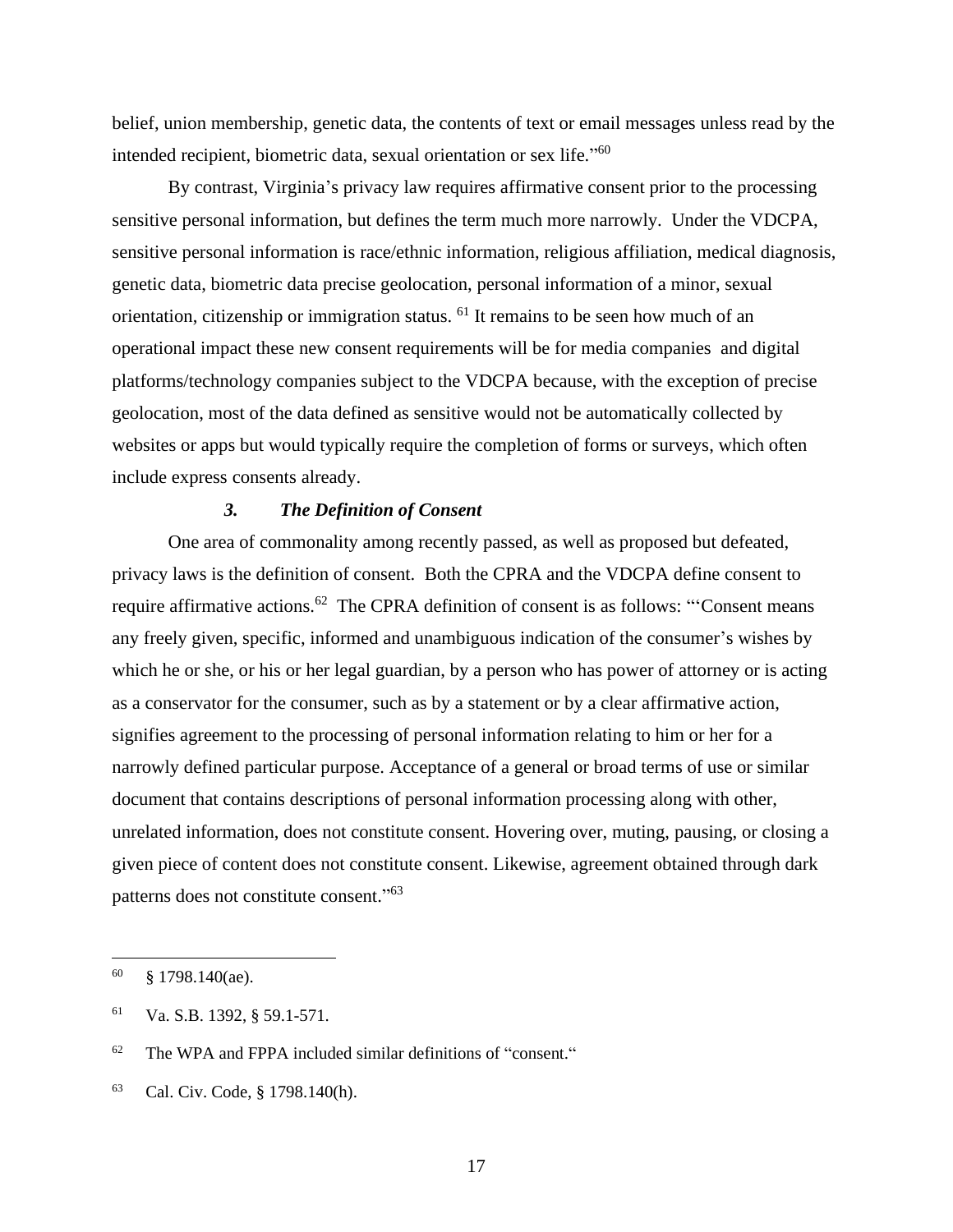belief, union membership, genetic data, the contents of text or email messages unless read by the intended recipient, biometric data, sexual orientation or sex life."<sup>60</sup>

By contrast, Virginia's privacy law requires affirmative consent prior to the processing sensitive personal information, but defines the term much more narrowly. Under the VDCPA, sensitive personal information is race/ethnic information, religious affiliation, medical diagnosis, genetic data, biometric data precise geolocation, personal information of a minor, sexual orientation, citizenship or immigration status. <sup>61</sup> It remains to be seen how much of an operational impact these new consent requirements will be for media companies and digital platforms/technology companies subject to the VDCPA because, with the exception of precise geolocation, most of the data defined as sensitive would not be automatically collected by websites or apps but would typically require the completion of forms or surveys, which often include express consents already.

### *3. The Definition of Consent*

One area of commonality among recently passed, as well as proposed but defeated, privacy laws is the definition of consent. Both the CPRA and the VDCPA define consent to require affirmative actions.<sup>62</sup> The CPRA definition of consent is as follows: "Consent means any freely given, specific, informed and unambiguous indication of the consumer's wishes by which he or she, or his or her legal guardian, by a person who has power of attorney or is acting as a conservator for the consumer, such as by a statement or by a clear affirmative action, signifies agreement to the processing of personal information relating to him or her for a narrowly defined particular purpose. Acceptance of a general or broad terms of use or similar document that contains descriptions of personal information processing along with other, unrelated information, does not constitute consent. Hovering over, muting, pausing, or closing a given piece of content does not constitute consent. Likewise, agreement obtained through dark patterns does not constitute consent."<sup>63</sup>

 $60 \qquad$  § 1798.140(ae).

<sup>61</sup> Va. S.B. 1392, § 59.1-571.

<sup>62</sup> The WPA and FPPA included similar definitions of "consent."

<sup>63</sup> Cal. Civ. Code, § 1798.140(h).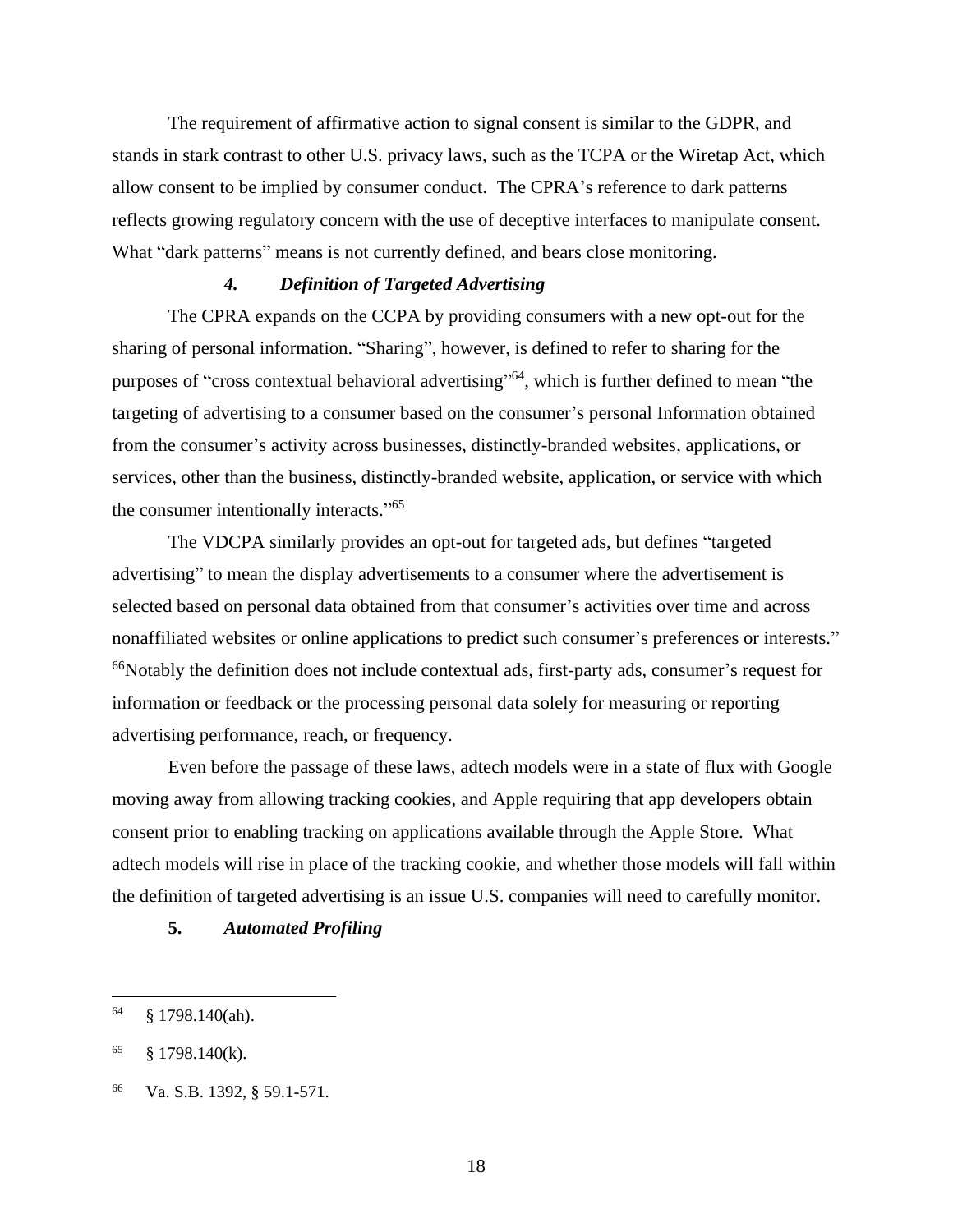The requirement of affirmative action to signal consent is similar to the GDPR, and stands in stark contrast to other U.S. privacy laws, such as the TCPA or the Wiretap Act, which allow consent to be implied by consumer conduct. The CPRA's reference to dark patterns reflects growing regulatory concern with the use of deceptive interfaces to manipulate consent. What "dark patterns" means is not currently defined, and bears close monitoring.

# *4. Definition of Targeted Advertising*

The CPRA expands on the CCPA by providing consumers with a new opt-out for the sharing of personal information. "Sharing", however, is defined to refer to sharing for the purposes of "cross contextual behavioral advertising"<sup>64</sup>, which is further defined to mean "the targeting of advertising to a consumer based on the consumer's personal Information obtained from the consumer's activity across businesses, distinctly-branded websites, applications, or services, other than the business, distinctly-branded website, application, or service with which the consumer intentionally interacts."<sup>65</sup>

The VDCPA similarly provides an opt-out for targeted ads, but defines "targeted advertising" to mean the display advertisements to a consumer where the advertisement is selected based on personal data obtained from that consumer's activities over time and across nonaffiliated websites or online applications to predict such consumer's preferences or interests." <sup>66</sup>Notably the definition does not include contextual ads, first-party ads, consumer's request for information or feedback or the processing personal data solely for measuring or reporting advertising performance, reach, or frequency.

Even before the passage of these laws, adtech models were in a state of flux with Google moving away from allowing tracking cookies, and Apple requiring that app developers obtain consent prior to enabling tracking on applications available through the Apple Store. What adtech models will rise in place of the tracking cookie, and whether those models will fall within the definition of targeted advertising is an issue U.S. companies will need to carefully monitor.

**5.** *Automated Profiling*

 $64 \qquad$  § 1798.140(ah).

 $65 \qquad \frac{8}{9} \qquad 1798.140(k).$ 

<sup>66</sup> Va. S.B. 1392, § 59.1-571.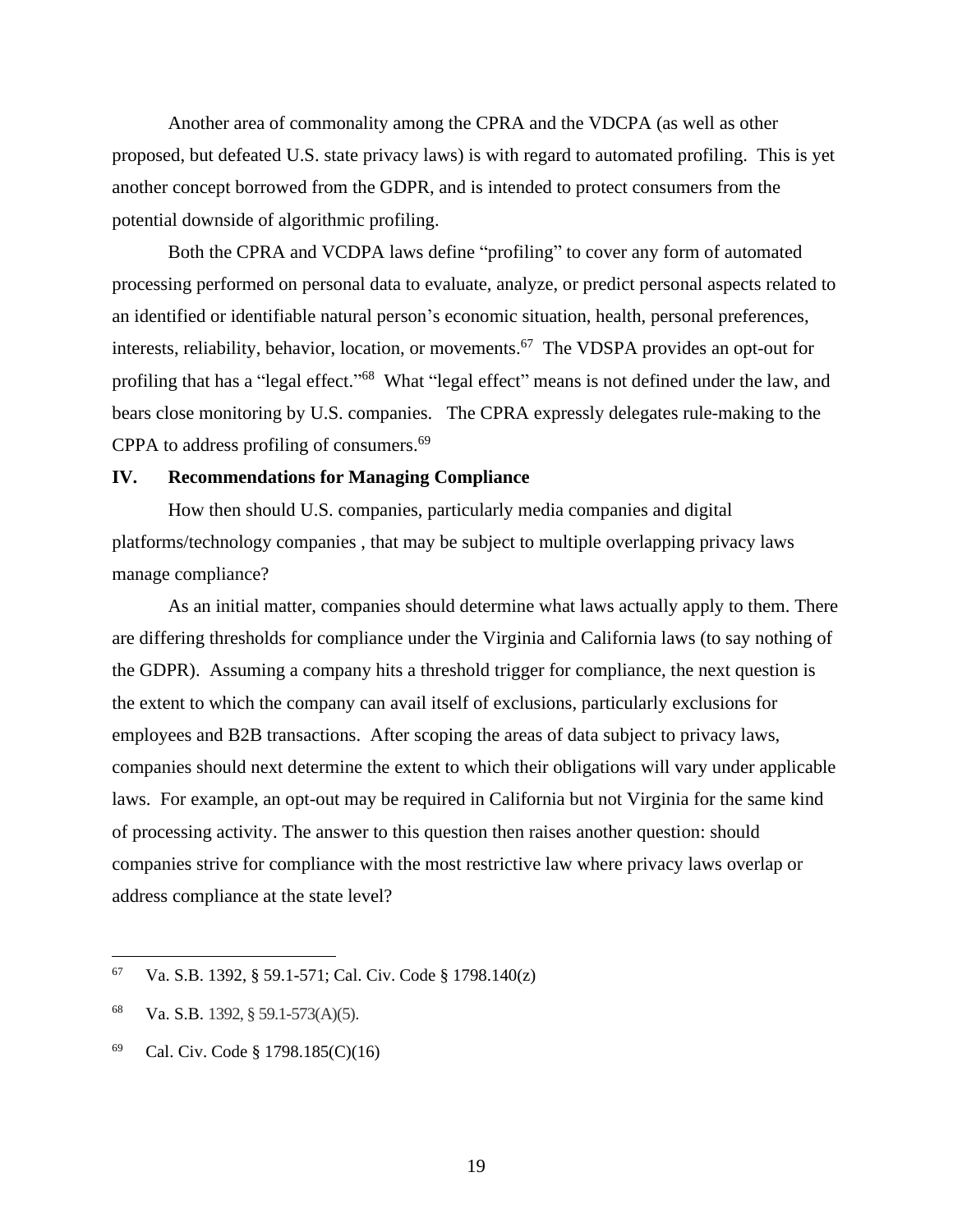Another area of commonality among the CPRA and the VDCPA (as well as other proposed, but defeated U.S. state privacy laws) is with regard to automated profiling. This is yet another concept borrowed from the GDPR, and is intended to protect consumers from the potential downside of algorithmic profiling.

Both the CPRA and VCDPA laws define "profiling" to cover any form of automated processing performed on personal data to evaluate, analyze, or predict personal aspects related to an identified or identifiable natural person's economic situation, health, personal preferences, interests, reliability, behavior, location, or movements.<sup>67</sup> The VDSPA provides an opt-out for profiling that has a "legal effect."<sup>68</sup> What "legal effect" means is not defined under the law, and bears close monitoring by U.S. companies. The CPRA expressly delegates rule-making to the CPPA to address profiling of consumers. 69

#### **IV. Recommendations for Managing Compliance**

How then should U.S. companies, particularly media companies and digital platforms/technology companies , that may be subject to multiple overlapping privacy laws manage compliance?

As an initial matter, companies should determine what laws actually apply to them. There are differing thresholds for compliance under the Virginia and California laws (to say nothing of the GDPR). Assuming a company hits a threshold trigger for compliance, the next question is the extent to which the company can avail itself of exclusions, particularly exclusions for employees and B2B transactions. After scoping the areas of data subject to privacy laws, companies should next determine the extent to which their obligations will vary under applicable laws. For example, an opt-out may be required in California but not Virginia for the same kind of processing activity. The answer to this question then raises another question: should companies strive for compliance with the most restrictive law where privacy laws overlap or address compliance at the state level?

<sup>67</sup> Va. S.B. 1392, § 59.1-571; Cal. Civ. Code § 1798.140(z)

<sup>68</sup> Va. S.B. 1392, § 59.1-573(A)(5).

<sup>69</sup> Cal. Civ. Code § 1798.185(C)(16)